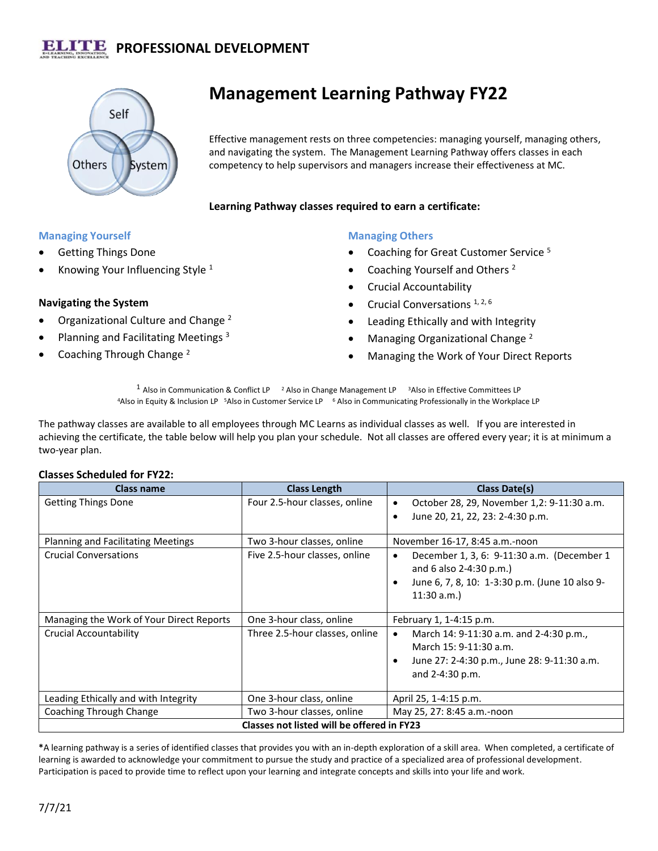# **PROFESSIONAL DEVELOPMENT**



# **Management Learning Pathway FY22**

Effective management rests on three competencies: managing yourself, managing others, and navigating the system. The Management Learning Pathway offers classes in each competency to help supervisors and managers increase their effectiveness at MC.

#### **Learning Pathway classes required to earn a certificate:**

### **Managing Yourself**

- Getting Things Done
- Knowing Your Influencing Style  $1$

### **Navigating the System**

- Organizational Culture and Change <sup>2</sup>
- Planning and Facilitating Meetings <sup>3</sup>
- Coaching Through Change <sup>2</sup>

## **Managing Others**

- Coaching for Great Customer Service <sup>5</sup>
- Coaching Yourself and Others <sup>2</sup>
- Crucial Accountability
- Crucial Conversations  $1, 2, 6$
- Leading Ethically and with Integrity
- Managing Organizational Change <sup>2</sup>
- Managing the Work of Your Direct Reports

<sup>1</sup> Also in Communication & Conflict LP  $^{-2}$  Also in Change Management LP  $^{-3}$  Also in Effective Committees LP <sup>4</sup>Also in Equity & Inclusion LP <sup>5</sup>Also in Customer Service LP <sup>6</sup> Also in Communicating Professionally in the Workplace LP

The pathway classes are available to all employees through MC Learns as individual classes as well. If you are interested in achieving the certificate, the table below will help you plan your schedule. Not all classes are offered every year; it is at minimum a two-year plan.

#### **Classes Scheduled for FY22:**

| Class name                                 | <b>Class Length</b>            | Class Date(s)                                                                                                                                                      |
|--------------------------------------------|--------------------------------|--------------------------------------------------------------------------------------------------------------------------------------------------------------------|
| <b>Getting Things Done</b>                 | Four 2.5-hour classes, online  | October 28, 29, November 1,2: 9-11:30 a.m.<br>$\bullet$                                                                                                            |
|                                            |                                | June 20, 21, 22, 23: 2-4:30 p.m.<br>٠                                                                                                                              |
| <b>Planning and Facilitating Meetings</b>  | Two 3-hour classes, online     | November 16-17, 8:45 a.m.-noon                                                                                                                                     |
| <b>Crucial Conversations</b>               | Five 2.5-hour classes, online  | December 1, 3, 6: 9-11:30 a.m. (December 1<br>$\bullet$<br>and 6 also 2-4:30 p.m.)<br>June 6, 7, 8, 10: 1-3:30 p.m. (June 10 also 9-<br>$\bullet$<br>$11:30$ a.m.) |
| Managing the Work of Your Direct Reports   | One 3-hour class, online       | February 1, 1-4:15 p.m.                                                                                                                                            |
| Crucial Accountability                     | Three 2.5-hour classes, online | March 14: 9-11:30 a.m. and 2-4:30 p.m.,<br>$\bullet$<br>March 15: 9-11:30 a.m.<br>June 27: 2-4:30 p.m., June 28: 9-11:30 a.m.<br>$\bullet$<br>and $2-4:30$ p.m.    |
| Leading Ethically and with Integrity       | One 3-hour class, online       | April 25, 1-4:15 p.m.                                                                                                                                              |
| Coaching Through Change                    | Two 3-hour classes, online     | May 25, 27: 8:45 a.m.-noon                                                                                                                                         |
| Classes not listed will be offered in FY23 |                                |                                                                                                                                                                    |

**\***A learning pathway is a series of identified classes that provides you with an in-depth exploration of a skill area. When completed, a certificate of learning is awarded to acknowledge your commitment to pursue the study and practice of a specialized area of professional development. Participation is paced to provide time to reflect upon your learning and integrate concepts and skills into your life and work.